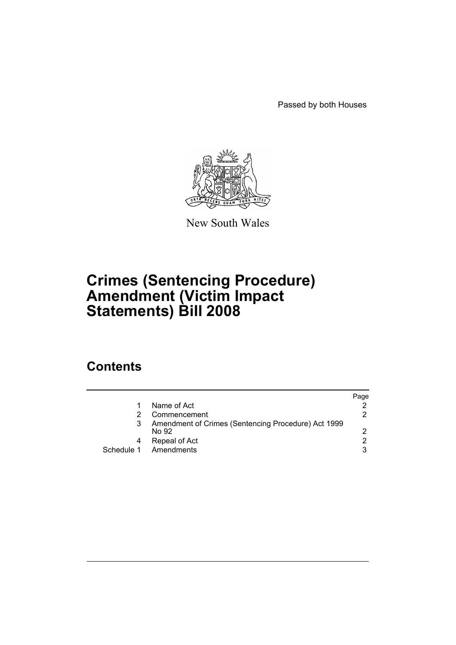Passed by both Houses



New South Wales

# **Crimes (Sentencing Procedure) Amendment (Victim Impact Statements) Bill 2008**

# **Contents**

|                                                              | Paqe |
|--------------------------------------------------------------|------|
| Name of Act                                                  |      |
| Commencement                                                 | 2.   |
| Amendment of Crimes (Sentencing Procedure) Act 1999<br>No 92 | 2    |
| Repeal of Act                                                | 2    |
| Schedule 1 Amendments                                        | 3    |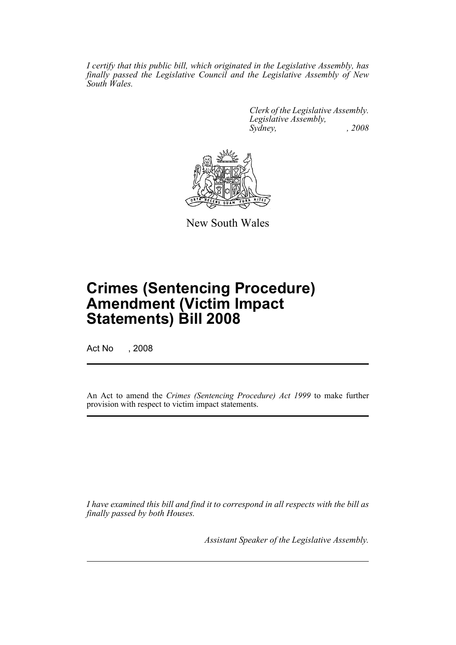*I certify that this public bill, which originated in the Legislative Assembly, has finally passed the Legislative Council and the Legislative Assembly of New South Wales.*

> *Clerk of the Legislative Assembly. Legislative Assembly, Sydney, , 2008*



New South Wales

# **Crimes (Sentencing Procedure) Amendment (Victim Impact Statements) Bill 2008**

Act No , 2008

An Act to amend the *Crimes (Sentencing Procedure) Act 1999* to make further provision with respect to victim impact statements.

*I have examined this bill and find it to correspond in all respects with the bill as finally passed by both Houses.*

*Assistant Speaker of the Legislative Assembly.*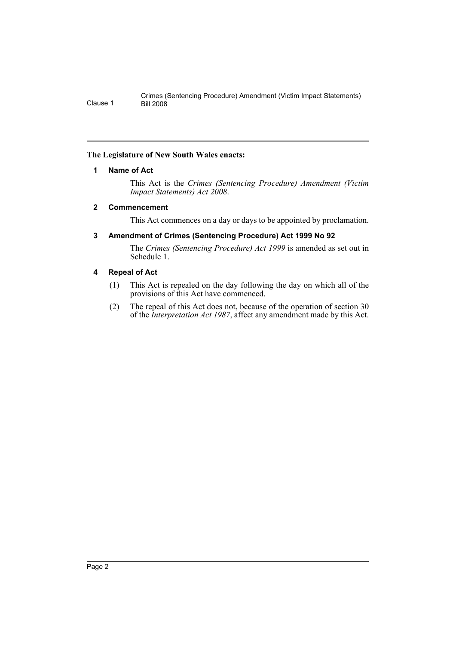### <span id="page-2-0"></span>**The Legislature of New South Wales enacts:**

### **1 Name of Act**

This Act is the *Crimes (Sentencing Procedure) Amendment (Victim Impact Statements) Act 2008*.

#### <span id="page-2-1"></span>**2 Commencement**

This Act commences on a day or days to be appointed by proclamation.

### <span id="page-2-2"></span>**3 Amendment of Crimes (Sentencing Procedure) Act 1999 No 92**

The *Crimes (Sentencing Procedure) Act 1999* is amended as set out in Schedule 1.

### <span id="page-2-3"></span>**4 Repeal of Act**

- (1) This Act is repealed on the day following the day on which all of the provisions of this Act have commenced.
- (2) The repeal of this Act does not, because of the operation of section 30 of the *Interpretation Act 1987*, affect any amendment made by this Act.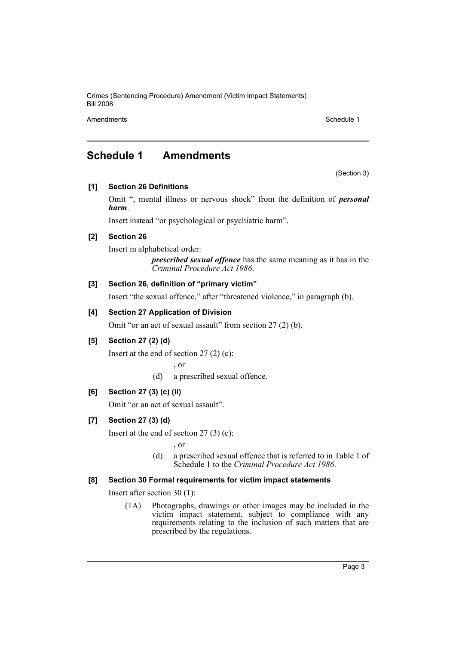Crimes (Sentencing Procedure) Amendment (Victim Impact Statements) Bill 2008

Amendments **Schedule 1** and the set of the set of the set of the set of the set of the set of the set of the set of the set of the set of the set of the set of the set of the set of the set of the set of the set of the set

# <span id="page-3-0"></span>**Schedule 1 Amendments**

(Section 3)

# **[1] Section 26 Definitions**

Omit ", mental illness or nervous shock" from the definition of *personal harm*.

Insert instead "or psychological or psychiatric harm".

# **[2] Section 26**

Insert in alphabetical order:

*prescribed sexual offence* has the same meaning as it has in the *Criminal Procedure Act 1986*.

### **[3] Section 26, definition of "primary victim"**

Insert "the sexual offence," after "threatened violence," in paragraph (b).

# **[4] Section 27 Application of Division**

Omit "or an act of sexual assault" from section 27 (2) (b).

# **[5] Section 27 (2) (d)**

Insert at the end of section 27 (2) (c):

, or

(d) a prescribed sexual offence.

# **[6] Section 27 (3) (c) (ii)**

Omit "or an act of sexual assault".

# **[7] Section 27 (3) (d)**

Insert at the end of section  $27(3)(c)$ :

, or

(d) a prescribed sexual offence that is referred to in Table 1 of Schedule 1 to the *Criminal Procedure Act 1986*.

#### **[8] Section 30 Formal requirements for victim impact statements**

Insert after section 30 (1):

(1A) Photographs, drawings or other images may be included in the victim impact statement, subject to compliance with any requirements relating to the inclusion of such matters that are prescribed by the regulations.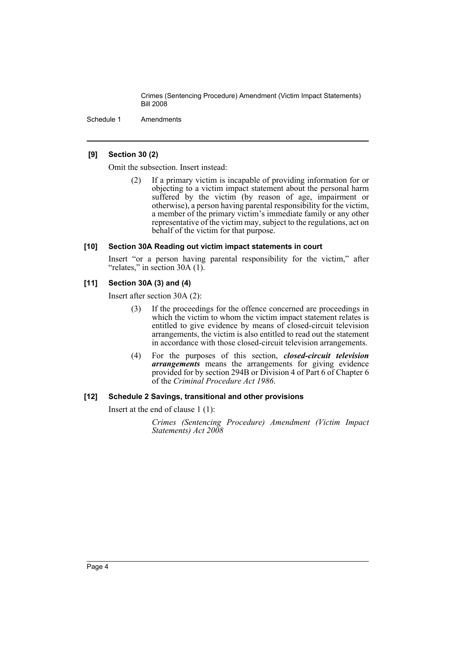Crimes (Sentencing Procedure) Amendment (Victim Impact Statements) Bill 2008

Schedule 1 Amendments

#### **[9] Section 30 (2)**

Omit the subsection. Insert instead:

(2) If a primary victim is incapable of providing information for or objecting to a victim impact statement about the personal harm suffered by the victim (by reason of age, impairment or otherwise), a person having parental responsibility for the victim, a member of the primary victim's immediate family or any other representative of the victim may, subject to the regulations, act on behalf of the victim for that purpose.

#### **[10] Section 30A Reading out victim impact statements in court**

Insert "or a person having parental responsibility for the victim," after "relates," in section 30A (1).

#### **[11] Section 30A (3) and (4)**

Insert after section 30A (2):

- (3) If the proceedings for the offence concerned are proceedings in which the victim to whom the victim impact statement relates is entitled to give evidence by means of closed-circuit television arrangements, the victim is also entitled to read out the statement in accordance with those closed-circuit television arrangements.
- (4) For the purposes of this section, *closed-circuit television arrangements* means the arrangements for giving evidence provided for by section 294B or Division 4 of Part 6 of Chapter 6 of the *Criminal Procedure Act 1986*.

#### **[12] Schedule 2 Savings, transitional and other provisions**

Insert at the end of clause 1 (1):

*Crimes (Sentencing Procedure) Amendment (Victim Impact Statements) Act 2008*